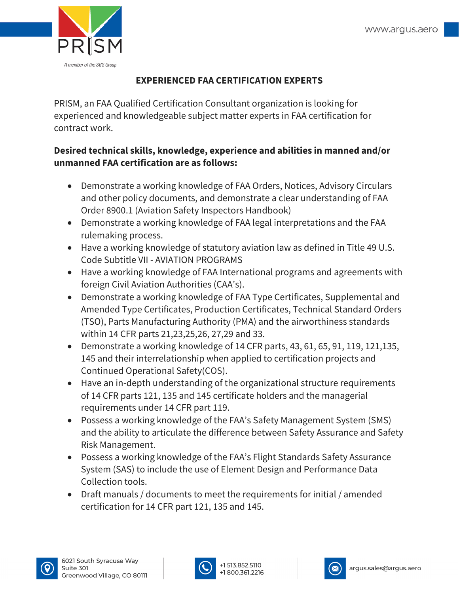

## **EXPERIENCED FAA CERTIFICATION EXPERTS**

PRISM, an FAA Qualified Certification Consultant organization is looking for experienced and knowledgeable subject matter experts in FAA certification for contract work.

## **Desired technical skills, knowledge, experience and abilities in manned and/or unmanned FAA certification are as follows:**

- Demonstrate a working knowledge of FAA Orders, Notices, Advisory Circulars and other policy documents, and demonstrate a clear understanding of FAA Order 8900.1 (Aviation Safety Inspectors Handbook)
- Demonstrate a working knowledge of FAA legal interpretations and the FAA rulemaking process.
- Have a working knowledge of statutory aviation law as defined in Title 49 U.S. Code Subtitle VII - AVIATION PROGRAMS
- Have a working knowledge of FAA International programs and agreements with foreign Civil Aviation Authorities (CAA's).
- Demonstrate a working knowledge of FAA Type Certificates, Supplemental and Amended Type Certificates, Production Certificates, Technical Standard Orders (TSO), Parts Manufacturing Authority (PMA) and the airworthiness standards within 14 CFR parts 21,23,25,26, 27,29 and 33.
- Demonstrate a working knowledge of 14 CFR parts, 43, 61, 65, 91, 119, 121,135, 145 and their interrelationship when applied to certification projects and Continued Operational Safety(COS).
- Have an in-depth understanding of the organizational structure requirements of 14 CFR parts 121, 135 and 145 certificate holders and the managerial requirements under 14 CFR part 119.
- Possess a working knowledge of the FAA's Safety Management System (SMS) and the ability to articulate the difference between Safety Assurance and Safety Risk Management.
- Possess a working knowledge of the FAA's Flight Standards Safety Assurance System (SAS) to include the use of Element Design and Performance Data Collection tools.
- Draft manuals / documents to meet the requirements for initial / amended certification for 14 CFR part 121, 135 and 145.







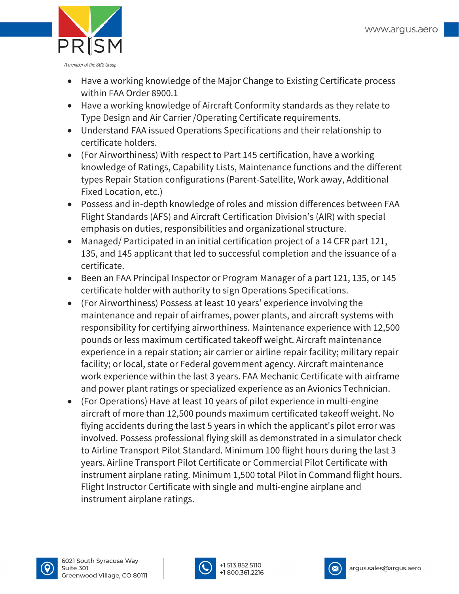

- Have a working knowledge of the Major Change to Existing Certificate process within FAA Order 8900.1
- Have a working knowledge of Aircraft Conformity standards as they relate to Type Design and Air Carrier /Operating Certificate requirements.
- Understand FAA issued Operations Specifications and their relationship to certificate holders.
- (For Airworthiness) With respect to Part 145 certification, have a working knowledge of Ratings, Capability Lists, Maintenance functions and the different types Repair Station configurations (Parent-Satellite, Work away, Additional Fixed Location, etc.)
- Possess and in-depth knowledge of roles and mission differences between FAA Flight Standards (AFS) and Aircraft Certification Division's (AIR) with special emphasis on duties, responsibilities and organizational structure.
- Managed/ Participated in an initial certification project of a 14 CFR part 121, 135, and 145 applicant that led to successful completion and the issuance of a certificate.
- Been an FAA Principal Inspector or Program Manager of a part 121, 135, or 145 certificate holder with authority to sign Operations Specifications.
- (For Airworthiness) Possess at least 10 years' experience involving the maintenance and repair of airframes, power plants, and aircraft systems with responsibility for certifying airworthiness. Maintenance experience with 12,500 pounds or less maximum certificated takeoff weight. Aircraft maintenance experience in a repair station; air carrier or airline repair facility; military repair facility; or local, state or Federal government agency. Aircraft maintenance work experience within the last 3 years. FAA Mechanic Certificate with airframe and power plant ratings or specialized experience as an Avionics Technician.
- (For Operations) Have at least 10 years of pilot experience in multi-engine aircraft of more than 12,500 pounds maximum certificated takeoff weight. No flying accidents during the last 5 years in which the applicant's pilot error was involved. Possess professional flying skill as demonstrated in a simulator check to Airline Transport Pilot Standard. Minimum 100 flight hours during the last 3 years. Airline Transport Pilot Certificate or Commercial Pilot Certificate with instrument airplane rating. Minimum 1,500 total Pilot in Command flight hours. Flight Instructor Certificate with single and multi-engine airplane and instrument airplane ratings.